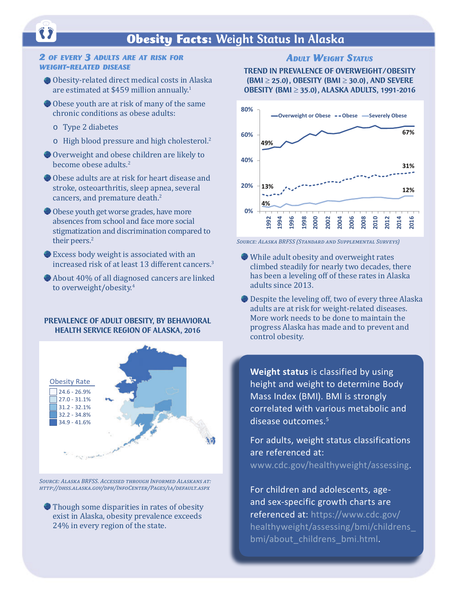## **Obesity Facts: Weight Status In Alaska**

# *2 of every 3 adults are at risk for weight-related disease*

- Obesity-related direct medical costs in Alaska are estimated at \$459 million annually.<sup>1</sup>
- Obese youth are at risk of many of the same chronic conditions as obese adults:
	- o Type 2 diabetes
	- o High blood pressure and high cholesterol.<sup>2</sup>
- Overweight and obese children are likely to become obese adults.<sup>2</sup>
- Obese adults are at risk for heart disease and stroke, osteoarthritis, sleep apnea, several cancers, and premature death.<sup>2</sup>
- Obese youth get worse grades, have more absences from school and face more social stigmatization and discrimination compared to their peers.<sup>2</sup>
- Excess body weight is associated with an increased risk of at least 13 different cancers.<sup>3</sup>
- About 40% of all diagnosed cancers are linked to overweight/obesity.<sup>4</sup>

#### PREVALENCE OF ADULT OBESITY, BY BEHAVIORAL HEALTH SERVICE REGION OF ALASKA, 2016



*Source: Alaska BRFSS. Accessed through Informed Alaskans at: <http://dhss.alaska.gov/dph/InfoCenter/Pages/ia/default.aspx>*

Though some disparities in rates of obesity exist in Alaska, obesity prevalence exceeds 24% in every region of the state.

#### *ADULT WEIGHT STATUS*

#### TREND IN PREVALENCE OF OVERWEIGHT/OBESITY (BMI  $\geq$  25.0), OBESITY (BMI  $\geq$  30.0), AND SEVERE OBESITY (BMI ≥ 35.0), ALASKA ADULTS, 1991-2016



*Source: Alaska BRFSS (Standard and Supplemental Surveys)*

- While adult obesity and overweight rates climbed steadily for nearly two decades, there has been a leveling off of these rates in Alaska adults since 2013.
- Despite the leveling off, two of every three Alaska adults are at risk for weight-related diseases. More work needs to be done to maintain the progress Alaska has made and to prevent and control obesity.

**Weight status** is classified by using height and weight to determine Body Mass Index (BMI). BMI is strongly correlated with various metabolic and disease outcomes.5

For adults, weight status classifications are referenced at: [www.cdc.gov/healthyweight/assessing.](http://www.cdc.gov/healthyweight/assessing)

For children and adolescents, ageand sex-specific growth charts are referenced at: [https://www.cdc.gov/](https://www.cdc.gov/healthyweight/assessing/bmi/childrens_bmi/about_childrens_bmi.html) [healthyweight/assessing/bmi/childrens\\_](https://www.cdc.gov/healthyweight/assessing/bmi/childrens_bmi/about_childrens_bmi.html) [bmi/about\\_childrens\\_bmi.htm](https://www.cdc.gov/healthyweight/assessing/bmi/childrens_bmi/about_childrens_bmi.html)l.